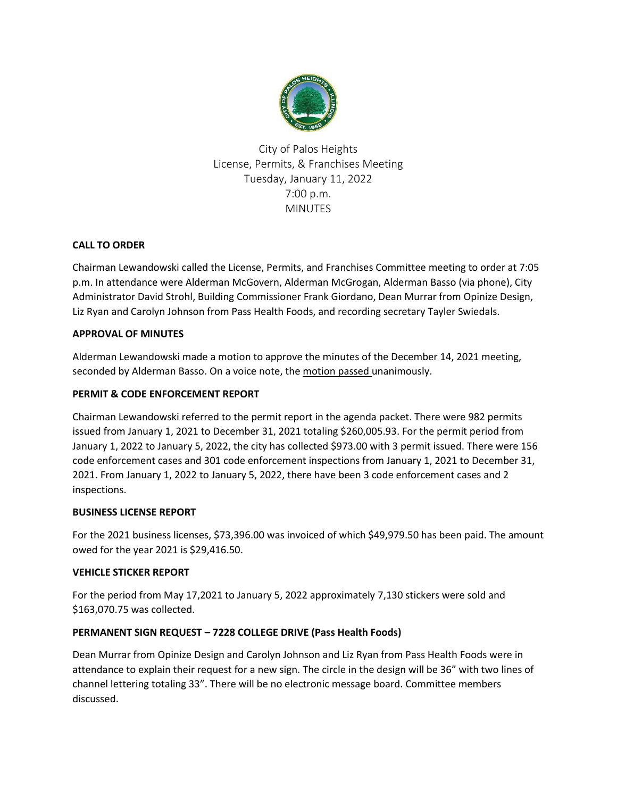

City of Palos Heights License, Permits, & Franchises Meeting Tuesday, January 11, 2022 7:00 p.m. MINUTES

# **CALL TO ORDER**

Chairman Lewandowski called the License, Permits, and Franchises Committee meeting to order at 7:05 p.m. In attendance were Alderman McGovern, Alderman McGrogan, Alderman Basso (via phone), City Administrator David Strohl, Building Commissioner Frank Giordano, Dean Murrar from Opinize Design, Liz Ryan and Carolyn Johnson from Pass Health Foods, and recording secretary Tayler Swiedals.

# **APPROVAL OF MINUTES**

Alderman Lewandowski made a motion to approve the minutes of the December 14, 2021 meeting, seconded by Alderman Basso. On a voice note, the motion passed unanimously.

# **PERMIT & CODE ENFORCEMENT REPORT**

Chairman Lewandowski referred to the permit report in the agenda packet. There were 982 permits issued from January 1, 2021 to December 31, 2021 totaling \$260,005.93. For the permit period from January 1, 2022 to January 5, 2022, the city has collected \$973.00 with 3 permit issued. There were 156 code enforcement cases and 301 code enforcement inspections from January 1, 2021 to December 31, 2021. From January 1, 2022 to January 5, 2022, there have been 3 code enforcement cases and 2 inspections.

# **BUSINESS LICENSE REPORT**

For the 2021 business licenses, \$73,396.00 was invoiced of which \$49,979.50 has been paid. The amount owed for the year 2021 is \$29,416.50.

### **VEHICLE STICKER REPORT**

For the period from May 17,2021 to January 5, 2022 approximately 7,130 stickers were sold and \$163,070.75 was collected.

# **PERMANENT SIGN REQUEST – 7228 COLLEGE DRIVE (Pass Health Foods)**

Dean Murrar from Opinize Design and Carolyn Johnson and Liz Ryan from Pass Health Foods were in attendance to explain their request for a new sign. The circle in the design will be 36" with two lines of channel lettering totaling 33". There will be no electronic message board. Committee members discussed.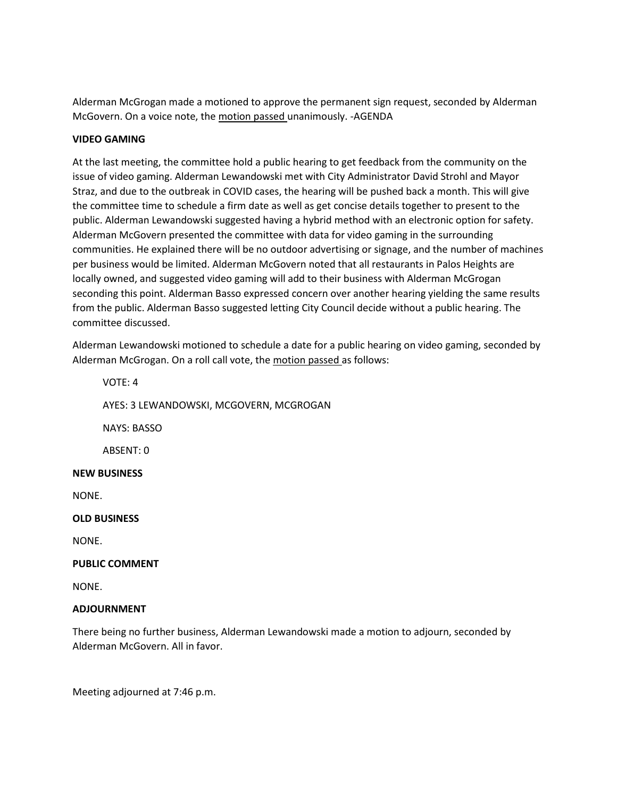Alderman McGrogan made a motioned to approve the permanent sign request, seconded by Alderman McGovern. On a voice note, the motion passed unanimously. -AGENDA

### **VIDEO GAMING**

At the last meeting, the committee hold a public hearing to get feedback from the community on the issue of video gaming. Alderman Lewandowski met with City Administrator David Strohl and Mayor Straz, and due to the outbreak in COVID cases, the hearing will be pushed back a month. This will give the committee time to schedule a firm date as well as get concise details together to present to the public. Alderman Lewandowski suggested having a hybrid method with an electronic option for safety. Alderman McGovern presented the committee with data for video gaming in the surrounding communities. He explained there will be no outdoor advertising or signage, and the number of machines per business would be limited. Alderman McGovern noted that all restaurants in Palos Heights are locally owned, and suggested video gaming will add to their business with Alderman McGrogan seconding this point. Alderman Basso expressed concern over another hearing yielding the same results from the public. Alderman Basso suggested letting City Council decide without a public hearing. The committee discussed.

Alderman Lewandowski motioned to schedule a date for a public hearing on video gaming, seconded by Alderman McGrogan. On a roll call vote, the motion passed as follows:

 VOTE: 4 AYES: 3 LEWANDOWSKI, MCGOVERN, MCGROGAN NAYS: BASSO

ABSENT: 0

#### **NEW BUSINESS**

NONE.

### **OLD BUSINESS**

NONE.

### **PUBLIC COMMENT**

NONE.

#### **ADJOURNMENT**

There being no further business, Alderman Lewandowski made a motion to adjourn, seconded by Alderman McGovern. All in favor.

Meeting adjourned at 7:46 p.m.